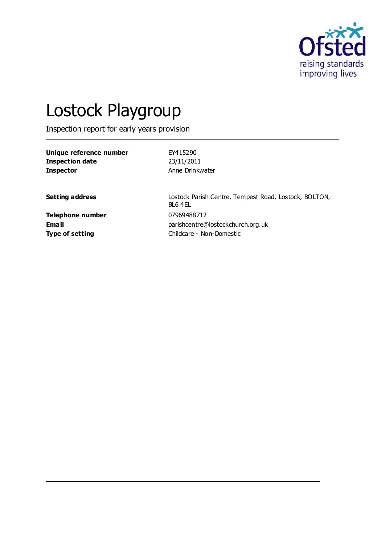

# Lostock Playgroup

Inspection report for early years provision

| Unique reference number | EY415290        |
|-------------------------|-----------------|
| Inspection date         | 23/11/2011      |
| <b>Inspector</b>        | Anne Drinkwater |

**Setting address** Lostock Parish Centre, Tempest Road, Lostock, BOLTON, BL6 4EL **Email** parishcentre@lostockchurch.org.uk **Type of setting** Childcare - Non-Domestic

**Telephone number** 07969488712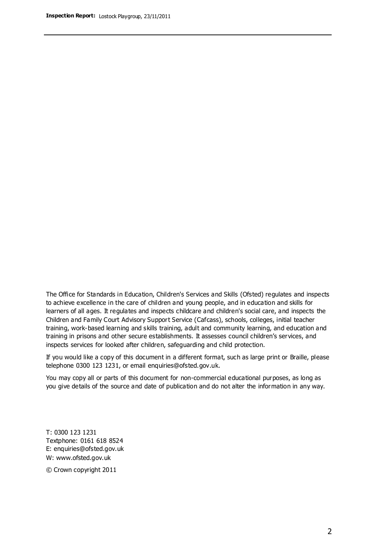The Office for Standards in Education, Children's Services and Skills (Ofsted) regulates and inspects to achieve excellence in the care of children and young people, and in education and skills for learners of all ages. It regulates and inspects childcare and children's social care, and inspects the Children and Family Court Advisory Support Service (Cafcass), schools, colleges, initial teacher training, work-based learning and skills training, adult and community learning, and education and training in prisons and other secure establishments. It assesses council children's services, and inspects services for looked after children, safeguarding and child protection.

If you would like a copy of this document in a different format, such as large print or Braille, please telephone 0300 123 1231, or email enquiries@ofsted.gov.uk.

You may copy all or parts of this document for non-commercial educational purposes, as long as you give details of the source and date of publication and do not alter the information in any way.

T: 0300 123 1231 Textphone: 0161 618 8524 E: enquiries@ofsted.gov.uk W: [www.ofsted.gov.uk](http://www.ofsted.gov.uk/)

© Crown copyright 2011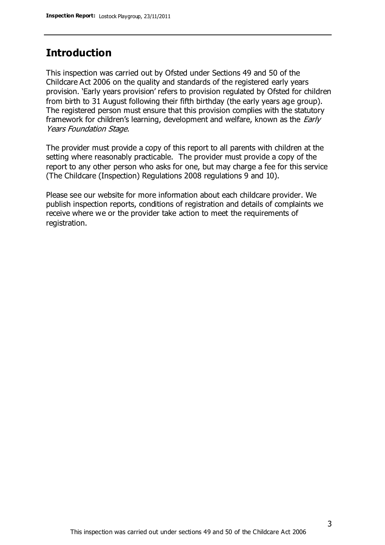## **Introduction**

This inspection was carried out by Ofsted under Sections 49 and 50 of the Childcare Act 2006 on the quality and standards of the registered early years provision. 'Early years provision' refers to provision regulated by Ofsted for children from birth to 31 August following their fifth birthday (the early years age group). The registered person must ensure that this provision complies with the statutory framework for children's learning, development and welfare, known as the *Early* Years Foundation Stage.

The provider must provide a copy of this report to all parents with children at the setting where reasonably practicable. The provider must provide a copy of the report to any other person who asks for one, but may charge a fee for this service (The Childcare (Inspection) Regulations 2008 regulations 9 and 10).

Please see our website for more information about each childcare provider. We publish inspection reports, conditions of registration and details of complaints we receive where we or the provider take action to meet the requirements of registration.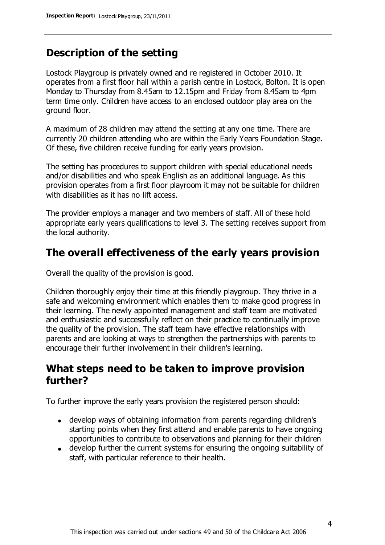## **Description of the setting**

Lostock Playgroup is privately owned and re registered in October 2010. It operates from a first floor hall within a parish centre in Lostock, Bolton. It is open Monday to Thursday from 8.45am to 12.15pm and Friday from 8.45am to 4pm term time only. Children have access to an enclosed outdoor play area on the ground floor.

A maximum of 28 children may attend the setting at any one time. There are currently 20 children attending who are within the Early Years Foundation Stage. Of these, five children receive funding for early years provision.

The setting has procedures to support children with special educational needs and/or disabilities and who speak English as an additional language. As this provision operates from a first floor playroom it may not be suitable for children with disabilities as it has no lift access.

The provider employs a manager and two members of staff. All of these hold appropriate early years qualifications to level 3. The setting receives support from the local authority.

### **The overall effectiveness of the early years provision**

Overall the quality of the provision is good.

Children thoroughly enjoy their time at this friendly playgroup. They thrive in a safe and welcoming environment which enables them to make good progress in their learning. The newly appointed management and staff team are motivated and enthusiastic and successfully reflect on their practice to continually improve the quality of the provision. The staff team have effective relationships with parents and are looking at ways to strengthen the partnerships with parents to encourage their further involvement in their children's learning.

## **What steps need to be taken to improve provision further?**

To further improve the early years provision the registered person should:

- develop ways of obtaining information from parents regarding children's starting points when they first attend and enable parents to have ongoing opportunities to contribute to observations and planning for their children
- develop further the current systems for ensuring the ongoing suitability of staff, with particular reference to their health.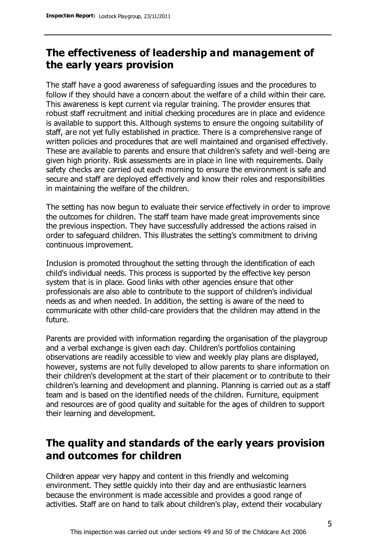## **The effectiveness of leadership and management of the early years provision**

The staff have a good awareness of safeguarding issues and the procedures to follow if they should have a concern about the welfare of a child within their care. This awareness is kept current via regular training. The provider ensures that robust staff recruitment and initial checking procedures are in place and evidence is available to support this. Although systems to ensure the ongoing suitability of staff, are not yet fully established in practice. There is a comprehensive range of written policies and procedures that are well maintained and organised effectively. These are available to parents and ensure that children's safety and well-being are given high priority. Risk assessments are in place in line with requirements. Daily safety checks are carried out each morning to ensure the environment is safe and secure and staff are deployed effectively and know their roles and responsibilities in maintaining the welfare of the children.

The setting has now begun to evaluate their service effectively in order to improve the outcomes for children. The staff team have made great improvements since the previous inspection. They have successfully addressed the actions raised in order to safeguard children. This illustrates the setting's commitment to driving continuous improvement.

Inclusion is promoted throughout the setting through the identification of each child's individual needs. This process is supported by the effective key person system that is in place. Good links with other agencies ensure that other professionals are also able to contribute to the support of children's individual needs as and when needed. In addition, the setting is aware of the need to communicate with other child-care providers that the children may attend in the future.

Parents are provided with information regarding the organisation of the playgroup and a verbal exchange is given each day. Children's portfolios containing observations are readily accessible to view and weekly play plans are displayed, however, systems are not fully developed to allow parents to share information on their children's development at the start of their placement or to contribute to their children's learning and development and planning. Planning is carried out as a staff team and is based on the identified needs of the children. Furniture, equipment and resources are of good quality and suitable for the ages of children to support their learning and development.

## **The quality and standards of the early years provision and outcomes for children**

Children appear very happy and content in this friendly and welcoming environment. They settle quickly into their day and are enthusiastic learners because the environment is made accessible and provides a good range of activities. Staff are on hand to talk about children's play, extend their vocabulary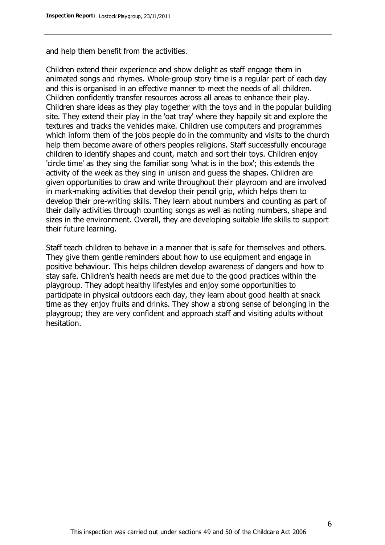and help them benefit from the activities.

Children extend their experience and show delight as staff engage them in animated songs and rhymes. Whole-group story time is a regular part of each day and this is organised in an effective manner to meet the needs of all children. Children confidently transfer resources across all areas to enhance their play. Children share ideas as they play together with the toys and in the popular building site. They extend their play in the 'oat tray' where they happily sit and explore the textures and tracks the vehicles make. Children use computers and programmes which inform them of the jobs people do in the community and visits to the church help them become aware of others peoples religions. Staff successfully encourage children to identify shapes and count, match and sort their toys. Children enjoy 'circle time' as they sing the familiar song 'what is in the box'; this extends the activity of the week as they sing in unison and guess the shapes. Children are given opportunities to draw and write throughout their playroom and are involved in mark-making activities that develop their pencil grip, which helps them to develop their pre-writing skills. They learn about numbers and counting as part of their daily activities through counting songs as well as noting numbers, shape and sizes in the environment. Overall, they are developing suitable life skills to support their future learning.

Staff teach children to behave in a manner that is safe for themselves and others. They give them gentle reminders about how to use equipment and engage in positive behaviour. This helps children develop awareness of dangers and how to stay safe. Children's health needs are met due to the good practices within the playgroup. They adopt healthy lifestyles and enjoy some opportunities to participate in physical outdoors each day, they learn about good health at snack time as they enjoy fruits and drinks. They show a strong sense of belonging in the playgroup; they are very confident and approach staff and visiting adults without hesitation.